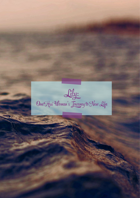Lily: One Hui Woman's Journey to New Life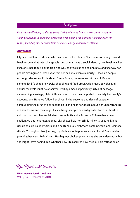### Brooklyn Qiao

*Brook has a life-long calling to serve Christ where he is less known, and to bolster Asian Christians in missions. Brook has lived among the Chinese Hui people for ten years, spending most of that time as a missionary in northwest China.*

#### **Abstract:**

Lily is a Hui Chinese Muslim who has come to love Jesus. She speaks of being Hui and Muslim somewhat interchangeably, and primarily as a social identity. Hui Muslim is her ethnicity, her family's tradition, the way she fits into the community, and the way her people distinguish themselves from her nations' ethnic majority – the Han people. Although she knows little about formal Islam, the rules and rituals of Muslim community life shape her. Daily shopping and food preparation must be *halal,* and annual festivals must be observed. Perhaps most importantly, rites of passage surrounding marriage, childbirth, and death must be completed to satisfy her family's expectations. Here we follow her through the customs and rites of passage surrounding the birth of her second child and hear her speak about her understanding of their forms and meanings. As she has journeyed toward greater faith in Christ in spiritual matters, her social identities as both a Muslim and a Chinese have been challenged but never abandoned. Lily shows how her ethnic minority uses religious rituals as cultural identifiers and simultaneously embraces certain traditional Chinese rituals. Throughout her journey, Lily finds ways to preserve Hui cultural forms while pursuing her new life in Christ. Her biggest challenge comes as she considers not what she might leave behind, but whether new life requires new rituals. This reflection on

Rites, Rituals and Ceremonies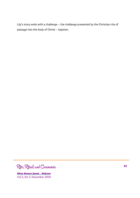Lily's story ends with a challenge – the challenge presented by the Christian rite of passage into the body of Christ – baptism.

Rites, Rituals and Ceremonies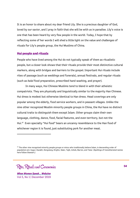It is an honor to share about my dear friend Lily. She is a precious daughter of God, loved by our savior, and I pray in faith that she will be with us in paradise. Lily's voice is one that has been heard by very few people in the world. Today, I hope that by reflecting some of her words I will shed a little light on the value and challenges of rituals for Lily's people group, the Hui Muslims of China.

## **Hui people and rituals**

People who have lived among the Hui do not typically speak of them as ritualistic people, but a closer look shows that their rituals provide their most distinctive cultural markers, along with bridges and barriers to the gospel. Important Hui rituals include rites of passage (such as weddings and funerals), annual festivals, and regular rituals (such as *halal* food preparation, prescribed hand washing, and prayer).

In many ways, Hui Chinese Muslims tend to blend in with their atheistic compatriots. They are physically and linguistically similar to the majority Han Chinese. Hui dress is modest but otherwise identical to Han dress. Head coverings are only popular among the elderly, food service workers, and in peasant villages. Unlike the nine other recognized Muslim minority people groups in China, the Hui have no distinct cultural traits to distinguish them except Islam. Other groups claim their own language, clothing, dance, food, facial features, and even territory, but not the Hui.47 Even specialty "Hui food" bears an uncanny resemblance to the Han food of whichever region it is found, just substituting pork for another meat.

Rites, Rituals and Ceremonies

*When Women Speak… Webzine* Vol 5, No 1 | December 2019

I

<sup>&</sup>lt;sup>47</sup> The other nine recognized minority people groups or minzu who traditionally believe Islam, in descending order of population are: Uygur, Kazakh, Dongxiang, Kirghiz, Salar, Tajik, Uzbek, Bao'an, and Tatar. (Spellings of transliterated names here follow Stewart.)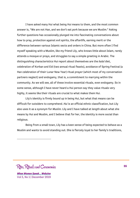I have asked many Hui what being Hui means to them, and the most common answer is, "We are not Han, and we don't eat pork because we are Muslim." Asking further questions has occasionally plunged me into fascinating conversations about how to pray, protection against evil spirits, the afterlife, earning merit or the difference between various Islamic sects and orders in China. But more often I find myself speaking with a Muslim, like my friend Lily, who knows little about Islam, rarely attends a mosque or prays, and struggles to say a simple greeting in Arabic. The distinguishing characteristics Hui report about themselves are the *halal* diet, celebration of Korban and Eid (two annual ritual feasts), avoidance of Spring Festival (a Han celebration of their Lunar New Year) ritual prayer (which most of my conversation partners neglect) and endogamy, that is, a commitment to marrying within the community. As we will see, all of these involve essential rituals, even endogamy. So in some sense, although I have never heard a Hui person say they value rituals very highly, it seems like their rituals are crucial to what makes them Hui.

Lily's identity is firmly bound up in being Hui, but what that means can be difficult for outsiders to comprehend. *Hui* is an official ethnic classification, but Lily also uses it as a synonym for *Muslim*. Lily and I have talked at length about what she means by Hui and Muslim, and I believe that for her, the identity is more social than religious.

Being from a small town, Lily has a keen sense of being expected to behave as a Muslim and wants to avoid standing out. She is fiercely loyal to her family's traditions,

Rites, Rituals and Ceremonies

*When Women Speak… Webzine* Vol 5, No 1 | December 2019

 $\overline{a}$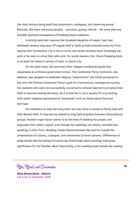the most obvious being *halal* food preparation, endogamy, and observing annual festivals. She fears the social penalty – exclusion, gossip, ridicule – far more than any possible spiritual consequence of breaking these traditions.

A strictly *halal* diet requires the ritualized slaughter of meats. Fear that dishonest vendors may pass off regular beef or lamb as *halal* prevents some Hui from leaving their hometowns. Lily is not so strict, but would certainly never knowingly eat pork or be seen in a shop that sells pork. For social reasons, the ritual of keeping *halal*, or at least her family's version of *halal*, is vital to Lily.

On the other hand, she and most other villagers studied alongside Han classmates at a Chinese government school. This Communist Party institution, she believes, was designed to eradicate religious "superstition" and instill secularism in line with the Chinese Communist Party's goal for a harmonious, homogenous society. Hui students who were not successfully converted to atheism learned to privatize their faith or become nominal devotees. So it is that Hui in Lily's society fit in by limiting their public religious expressions to "essentials" such as choice about food and marriage.

Hui insistence on only marrying other Hui may serve to preserve family lines and their Muslim faith. It may also be related to long-held prejudice between ethnocultural groups. Another major factor seems to be the kind of wedding Hui people, and especially their elders, expect, even though Hui weddings can closely resemble Han weddings in their form. Wedding rituals shared between Han and Hui include the presentation of a dowry, a banquet, and ceremonies to honor parents. Differences in small details like the eating of a particular fried bread called *youxiang,* hold great significance for Hui families. Most importantly, a Hui wedding must include the reading

Rites, Rituals and Ceremonies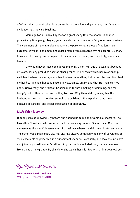of *nikah,* which cannot take place unless both the bride and groom say the *shahada* as evidence that they are Muslims.

Marriage for a Hui like Lily (as for a great many Chinese people) is shaped primarily by filial piety, obeying your parents, rather than satisfying one's own desires. The ceremony of marriage gives honor to the parents regardless of the long-term outcome. Divorce is common, and quite often, even suggested by the parents. By then, however, the dowry has been paid, the *nikah* has been read, and hopefully, a son has been born.

Lily would never have considered marrying a non-Hui, but this was not because of Islam, nor any prejudice against other groups. In her own words, her relationship with her husband is 'average' and her husband is anything but pious. She has often told me her best friend's husband makes her 'extremely angry' and that Hui men are 'not good.' Conversely, she praises Christian men for not smoking or gambling, and for being 'good to their wives' and 'willing to cook.' Why then, did Lily marry her Hui husband rather than a non-Hui schoolmate or friend? She explained that it was because of parental and social expectation of endogamy.

# **Lily's faith journey**

It took years of knowing Lily before she opened up to me about spiritual matters. The two other Christians who knew her had the same experience. One of these Christian women was the Han Chinese owner of a business where Lily did some short-term work. The other was a missionary like me. Lily had always complied when any of us wanted to study the bible together but in a subservient manner. Eventually, she took the initiative and joined my small women's fellowship group which included Han, Hui, and women from three other groups. By this time, she was in her mid-30s with a nine-year-old son

Rites, Rituals and Ceremonies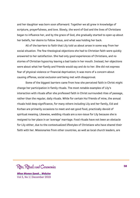and her daughter was born soon afterward. Together we all grew in knowledge of scripture, prayerfulness, and love. Slowly, the word of God and the lives of Christians began to influence her, and by the grace of God, she gradually started to open up about her beliefs, her desire to follow Jesus, and what was holding her back.

All of the barriers to faith that Lily told us about arose in some way from her social situation. The few theological objections she had to Christian faith were quickly answered to her satisfaction. She had only good experiences of Christians, and no stories of Christian hypocrisy leaving a bad taste in her mouth. Instead, her objections were about what her family and friends would say and do to her. She did not express fear of physical violence or financial deprivation; it was more of a concern about causing offense, social exclusion and being met with disapproval.

Some of the biggest barriers came from how she perceived faith in Christ might change her participation in family rituals. The most notable examples of Lily's interaction with rituals after she professed faith in Christ surrounded rites of passage, rather than the regular, daily rituals. While for certain Hui friends of mine, the annual rituals hold deep significance, for many others including Lily and her family, Eid and Korban are primarily occasions to meet and eat good food, practically devoid of spiritual meaning. Likewise, wedding rituals are a non-issue for Lily because she is resigned to her place in an 'average' marriage. Food rituals have not been an obstacle for Lily either, due to the contextualized lifestyles of Christians who have shared their faith with her. Missionaries from other countries, as well as local church leaders, are

Rites, Rituals and Ceremonies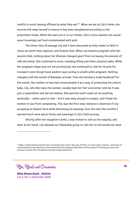careful to avoid causing offense by what they eat.<sup>48</sup> When we eat at Lily's home, she sources the meat herself to ensure it has been slaughtered according to the prescribed rituals. When she eats out or in our homes, she is more relaxed, but would never knowingly eat food contaminated with pork.

The three rites of passage Lily and I have discussed as they relate to faith in Jesus are birth rites, baptism, and funeral rites. When Lily became pregnant with her second child, nothing about her lifestyle changed apart from increasing the amount of milk she drank. She continued to work, including lifting and other physical tasks. While her pregnant shape was not yet pronounced, she continued to ride her bicycle for transport even though local wisdom says cycling is unsafe while pregnant. Nothing changed until the month of Ramadan arrived. Then she donned a small headscarf for the month. Her mother-in-law had recommended it as a way of protecting the unborn baby. Lily, who like many Hui women, usually kept her hair uncovered, told me it was just a superstition she did not believe. She said the scarf could not do anything spiritually – either good or bad – but it was easy enough to comply, and it kept her mother-in-law from complaining. This was the first clear instance I observed of Lily accepting an Islamic *form* while dismissing its *meaning*. Over the next few months I learned much more about forms and meanings in Lily's faith journey.

Shortly after her daughter's birth, I was invited to visit at the hospital, and later at her home. Lily allowed our fellowship group to visit her so she would not need

Rites, Rituals and Ceremonies

*When Women Speak… Webzine* Vol 5, No 1 | December 2019

I

<sup>48</sup> Sadly, contextualized practices have not always been used in this part of China. In recent years, however, awareness of contextualization has improved, some missionaries have adopted Halal diets and the practice of forcing pork onto new converts to prove their Christianity has been largely abandoned.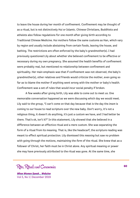to leave the house during her month of confinement. Confinement may be thought of as a ritual, but is not distinctively Hui or Islamic. Chinese Christians, Buddhists and atheists also follow regulations for one month after giving birth according to Traditional Chinese Medicine. Hui mothers follow the same customs as Han, which vary by region and usually include abstaining from certain foods, leaving the house, and bathing. The restrictions are often enforced by the baby's grandmother(s). I had previously questioned Lily about whether she believed confinement to be effective or necessary during my own pregnancy. She assumed the health benefits of confinement were probably real, but mentioned no relationship between confinement and spirituality. Her main emphasis was that if confinement was not observed, the baby's grandmother(s), other relatives and friends would criticize the mother, even going so far as to blame the mother if anything went wrong with the mother or baby's health. Confinement was a set of rules that would incur social penalty if broken.

A few weeks after giving birth, Lily was able to come out to meet us. One memorable conversation happened as we were discussing which day we would meet. Lily said to the group, "I can't come on that day because that is the day the *imam* is coming to our house to read scripture over the new baby. Don't worry, it's not a religious thing, it doesn't do anything, it's just a custom we have, and I had better be there. That's ok, isn't it?" In this statement, Lily showed that she believed in a difference between an effective ritual and a mere custom. She was separating the form of a ritual from its meaning. That is, like the headscarf, the scripture reading was meant to effect spiritual protection. Lily dismissed this *meaning* but saw no problem with going through the motions, maintaining the *form* of the ritual. She knew that as a follower of Christ, her faith must be in Christ alone. Any spiritual meaning or power she may have previously attributed to the ritual was gone. At the same time, she

Rites, Rituals and Ceremonies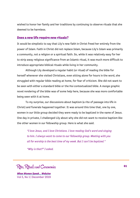wished to honor her family and her traditions by continuing to observe rituals that she deemed to be harmless.

### **Does a new life require new rituals?**

It would be simplistic to say that Lily's new faith in Christ freed her entirely from the power of Islam. Faith in Christ did not replace Islam, because Lily's Islam was primarily a community, not a religion or a spiritual faith. So, while it was relatively easy for her to strip away religious significance from an Islamic ritual, it was much more difficult to introduce appropriate biblical rituals while living in her community.

Although Lily developed a regular habit (or ritual) of reading the bible for herself whenever she visited Christians, even sitting alone for hours in the word, she struggled with regular bible reading at home, for fear of criticism. She did not want to be seen with either a standard bible or the Hui contextualized bible. A *manga* graphic novel rendering of the bible was of some help here, because she was more comfortable being seen with it at home.

To my surprise, our discussions about baptism (a rite of passage into life in Christ) and funerals happened together. It was around this time that, one by one, women in our little group decided they were ready to be baptized in the name of Jesus. One day in private, I challenged Lily about why she did not want to receive baptism like the other women in our fellowship group. Here is what she said.

*"I love Jesus, and I love Christians. I love reading God's word and singing to him. I always want to come to our fellowship group. Meeting with you all for worship is the best time of my week. But I can't be baptized."*

*"Why is that?" I asked.*

Rites, Rituals and Ceremonies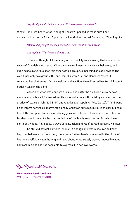#### *"My family would be heartbroken if I were to be cremated."*

What? Had I just heard what I thought I heard? I paused to make sure I had understood correctly. I had. I quickly thanked God and asked for wisdom. Then I spoke.

#### *"Where did you get the idea that Christians must be cremated?"*

#### *She replied, "That's what the Han do."*

It was as I thought. Like so many other Hui, Lily was showing that despite the years of friendship with expat Christians, several meetings with Hui believers, and a little exposure to Muslims from other ethnic groups, in her mind she still divided the world into only two groups: Hui and Han. Hui were 'us,' and Han were 'them.' I reminded her that some of us are neither Hui nor Han, then directed her to think about burial rituals in the bible.

I asked her what was done with Jesus' body after he died. She knew he was embalmed and buried. I assured her this was not a once-off burial by showing her the stories of Lazarus (John 11:38-44) and Ananias and Sapphira (Acts 5:1-10). Then I went on to inform her that in many traditionally Christian cultures, burial is the norm. I told her of the European tradition of placing graveyards beside churches to remember our forebears and the epitaphs that remind us of the bodily resurrection for which we confidently hope. As I spoke, a wave of realization and relief spread across Lily's face.

She still did not get baptized, though. Although she was reassured to know baptized believers can be buried, there were further barriers involved in the ritual of baptism itself. Lily thought long and hard about what exactly was so impossible about baptism, but she has not been able to express it in her own words.

Rites, Rituals and Ceremonies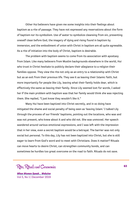Other Hui believers have given me some insights into their feelings about baptism as a rite of passage. They have not expressed any reservations about the form of baptism nor its symbolism. Use of water to symbolize cleansing from sin, presenting oneself clean before God, the imagery of dying and rising found in baptism by immersion, and the embodiment of union with Christ in baptism are all quite agreeable. As a rite of initiation into the body of Christ, baptism is desirable.

The problem with baptism seems to come from its association with apostasy from Islam. Like many believers from Muslim backgrounds elsewhere in the world, Hui who trust in Christ hesitate to publicly declare their allegiance to a religion their families oppose. They view the rite not only as an entry to a relationship with Christ but as an exit from their previous life. They see it as leaving their Islamic faith, but more importantly for people like Lily, leaving what their family holds dear, which is effectively the same as leaving their family. Since Lily seemed lost for words, I asked her if the main problem with baptism was that her family would think she was rejecting them. She replied, "I just know they wouldn't like it."

Many Hui have been baptized into Christ secretly, and in so doing have mitigated the shame and social penalty of being seen as 'leaving Islam.' I talked Lily through the process of our friends' baptisms, pointing out the locations, who was and was not present, who knew about it and who did not. She was unmoved. Her speech wandered around various emotional expressions, and I was left with the impression that in her view, even a secret baptism would be a betrayal. The barrier was not only social but personal. To this day, Lily has not been baptized into Christ, but she is still eager to learn from God's word and to meet with Christians. Does it matter? Rituals can move hearts to desire Christ, can strengthen community bonds, and can sometimes be hurdles too great overcome on the road to faith. Rituals do not save.

Rites, Rituals and Ceremonies